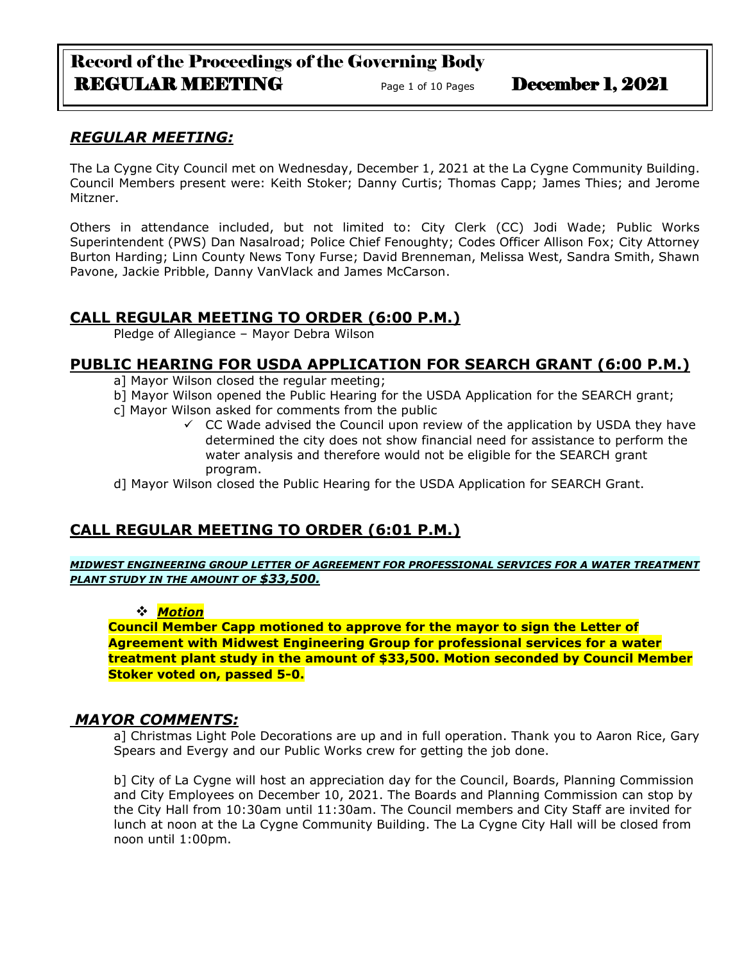# Record of the Proceedings of the Governing Body REGULAR MEETING Page 1 of 10 Pages December 1, 2021

## *REGULAR MEETING:*

The La Cygne City Council met on Wednesday, December 1, 2021 at the La Cygne Community Building. Council Members present were: Keith Stoker; Danny Curtis; Thomas Capp; James Thies; and Jerome Mitzner.

Others in attendance included, but not limited to: City Clerk (CC) Jodi Wade; Public Works Superintendent (PWS) Dan Nasalroad; Police Chief Fenoughty; Codes Officer Allison Fox; City Attorney Burton Harding; Linn County News Tony Furse; David Brenneman, Melissa West, Sandra Smith, Shawn Pavone, Jackie Pribble, Danny VanVlack and James McCarson.

## **CALL REGULAR MEETING TO ORDER (6:00 P.M.)**

Pledge of Allegiance – Mayor Debra Wilson

## **PUBLIC HEARING FOR USDA APPLICATION FOR SEARCH GRANT (6:00 P.M.)**

- a] Mayor Wilson closed the regular meeting;
- b] Mayor Wilson opened the Public Hearing for the USDA Application for the SEARCH grant;
- c] Mayor Wilson asked for comments from the public
	- $\checkmark$  CC Wade advised the Council upon review of the application by USDA they have determined the city does not show financial need for assistance to perform the water analysis and therefore would not be eligible for the SEARCH grant program.

d] Mayor Wilson closed the Public Hearing for the USDA Application for SEARCH Grant.

## **CALL REGULAR MEETING TO ORDER (6:01 P.M.)**

*MIDWEST ENGINEERING GROUP LETTER OF AGREEMENT FOR PROFESSIONAL SERVICES FOR A WATER TREATMENT PLANT STUDY IN THE AMOUNT OF \$33,500.*

#### ❖ *Motion*

**Council Member Capp motioned to approve for the mayor to sign the Letter of Agreement with Midwest Engineering Group for professional services for a water treatment plant study in the amount of \$33,500. Motion seconded by Council Member Stoker voted on, passed 5-0.**

## *MAYOR COMMENTS:*

a] Christmas Light Pole Decorations are up and in full operation. Thank you to Aaron Rice, Gary Spears and Evergy and our Public Works crew for getting the job done.

b] City of La Cygne will host an appreciation day for the Council, Boards, Planning Commission and City Employees on December 10, 2021. The Boards and Planning Commission can stop by the City Hall from 10:30am until 11:30am. The Council members and City Staff are invited for lunch at noon at the La Cygne Community Building. The La Cygne City Hall will be closed from noon until 1:00pm.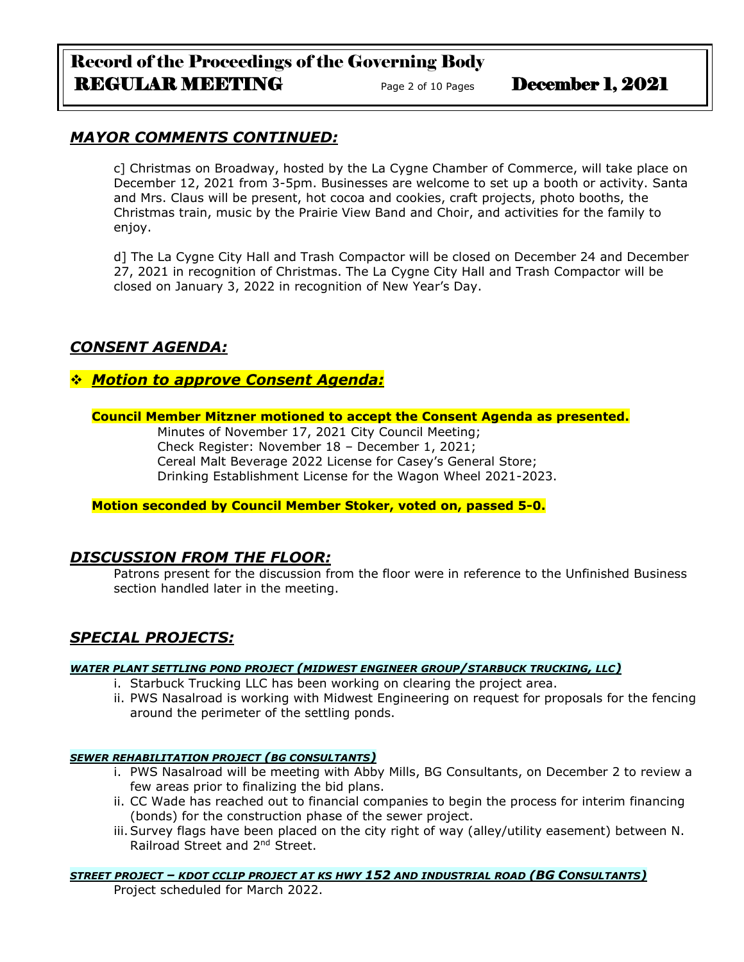# Record of the Proceedings of the Governing Body REGULAR MEETING Page 2 of 10 Pages December 1, 2021

## *MAYOR COMMENTS CONTINUED:*

c] Christmas on Broadway, hosted by the La Cygne Chamber of Commerce, will take place on December 12, 2021 from 3-5pm. Businesses are welcome to set up a booth or activity. Santa and Mrs. Claus will be present, hot cocoa and cookies, craft projects, photo booths, the Christmas train, music by the Prairie View Band and Choir, and activities for the family to enjoy.

d] The La Cygne City Hall and Trash Compactor will be closed on December 24 and December 27, 2021 in recognition of Christmas. The La Cygne City Hall and Trash Compactor will be closed on January 3, 2022 in recognition of New Year's Day.

## *CONSENT AGENDA:*

## ❖ *Motion to approve Consent Agenda:*

### **Council Member Mitzner motioned to accept the Consent Agenda as presented.**

Minutes of November 17, 2021 City Council Meeting; Check Register: November 18 – December 1, 2021; Cereal Malt Beverage 2022 License for Casey's General Store; Drinking Establishment License for the Wagon Wheel 2021-2023.

## **Motion seconded by Council Member Stoker, voted on, passed 5-0.**

## *DISCUSSION FROM THE FLOOR:*

Patrons present for the discussion from the floor were in reference to the Unfinished Business section handled later in the meeting.

## *SPECIAL PROJECTS:*

#### *WATER PLANT SETTLING POND PROJECT (MIDWEST ENGINEER GROUP/STARBUCK TRUCKING, LLC)*

- i. Starbuck Trucking LLC has been working on clearing the project area.
- ii. PWS Nasalroad is working with Midwest Engineering on request for proposals for the fencing around the perimeter of the settling ponds.

#### *SEWER REHABILITATION PROJECT (BG CONSULTANTS)*

- i. PWS Nasalroad will be meeting with Abby Mills, BG Consultants, on December 2 to review a few areas prior to finalizing the bid plans.
- ii. CC Wade has reached out to financial companies to begin the process for interim financing (bonds) for the construction phase of the sewer project.
- iii.Survey flags have been placed on the city right of way (alley/utility easement) between N. Railroad Street and 2nd Street.

#### *STREET PROJECT – KDOT CCLIP PROJECT AT KS HWY 152 AND INDUSTRIAL ROAD (BG CONSULTANTS)*

Project scheduled for March 2022.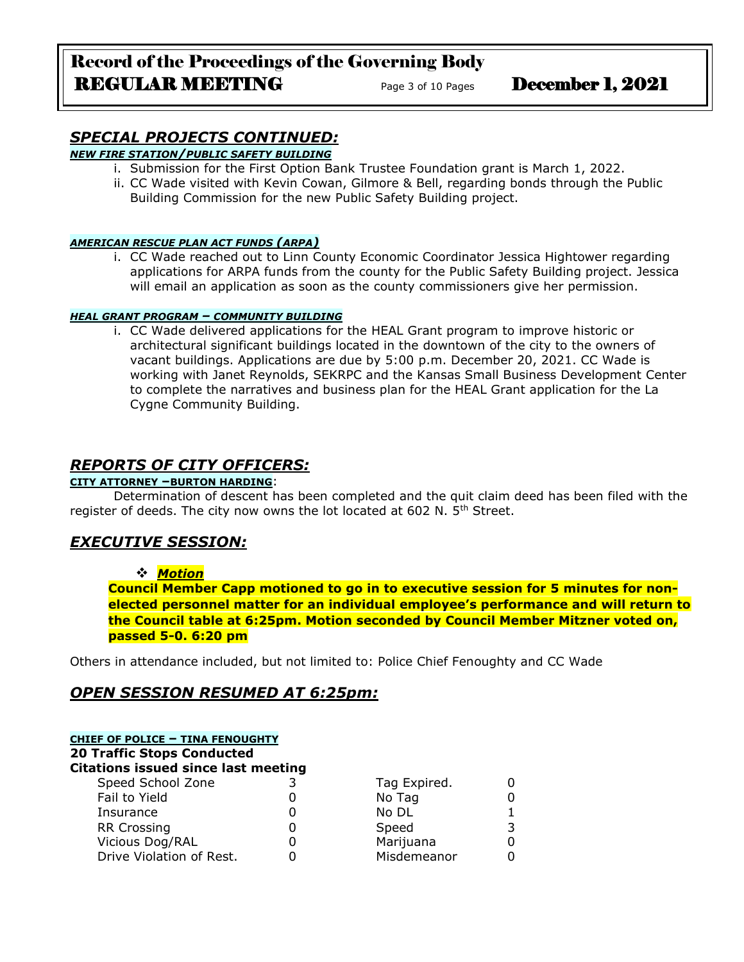# Record of the Proceedings of the Governing Body REGULAR MEETING<br>
Page 3 of 10 Pages December 1, 2021

# *SPECIAL PROJECTS CONTINUED:*

## *NEW FIRE STATION/PUBLIC SAFETY BUILDING*

- i. Submission for the First Option Bank Trustee Foundation grant is March 1, 2022.
- ii. CC Wade visited with Kevin Cowan, Gilmore & Bell, regarding bonds through the Public Building Commission for the new Public Safety Building project.

#### *AMERICAN RESCUE PLAN ACT FUNDS (ARPA)*

i. CC Wade reached out to Linn County Economic Coordinator Jessica Hightower regarding applications for ARPA funds from the county for the Public Safety Building project. Jessica will email an application as soon as the county commissioners give her permission.

#### *HEAL GRANT PROGRAM – COMMUNITY BUILDING*

i. CC Wade delivered applications for the HEAL Grant program to improve historic or architectural significant buildings located in the downtown of the city to the owners of vacant buildings. Applications are due by 5:00 p.m. December 20, 2021. CC Wade is working with Janet Reynolds, SEKRPC and the Kansas Small Business Development Center to complete the narratives and business plan for the HEAL Grant application for the La Cygne Community Building.

## *REPORTS OF CITY OFFICERS:*

#### **CITY ATTORNEY –BURTON HARDING**:

Determination of descent has been completed and the quit claim deed has been filed with the register of deeds. The city now owns the lot located at 602 N. 5<sup>th</sup> Street.

## *EXECUTIVE SESSION:*

#### ❖ *Motion*

**Council Member Capp motioned to go in to executive session for 5 minutes for nonelected personnel matter for an individual employee's performance and will return to the Council table at 6:25pm. Motion seconded by Council Member Mitzner voted on, passed 5-0. 6:20 pm** 

Others in attendance included, but not limited to: Police Chief Fenoughty and CC Wade

## *OPEN SESSION RESUMED AT 6:25pm:*

| <b>CHIEF OF POLICE - TINA FENOUGHTY</b><br><b>20 Traffic Stops Conducted</b><br><b>Citations issued since last meeting</b> |   |              |   |  |
|----------------------------------------------------------------------------------------------------------------------------|---|--------------|---|--|
| Speed School Zone                                                                                                          |   | Tag Expired. |   |  |
| Fail to Yield                                                                                                              |   | No Tag       |   |  |
| Insurance                                                                                                                  |   | No DL        |   |  |
| <b>RR Crossing</b>                                                                                                         | 0 | Speed        | 3 |  |
| Vicious Dog/RAL                                                                                                            | 0 | Marijuana    |   |  |
| Drive Violation of Rest.                                                                                                   |   | Misdemeanor  |   |  |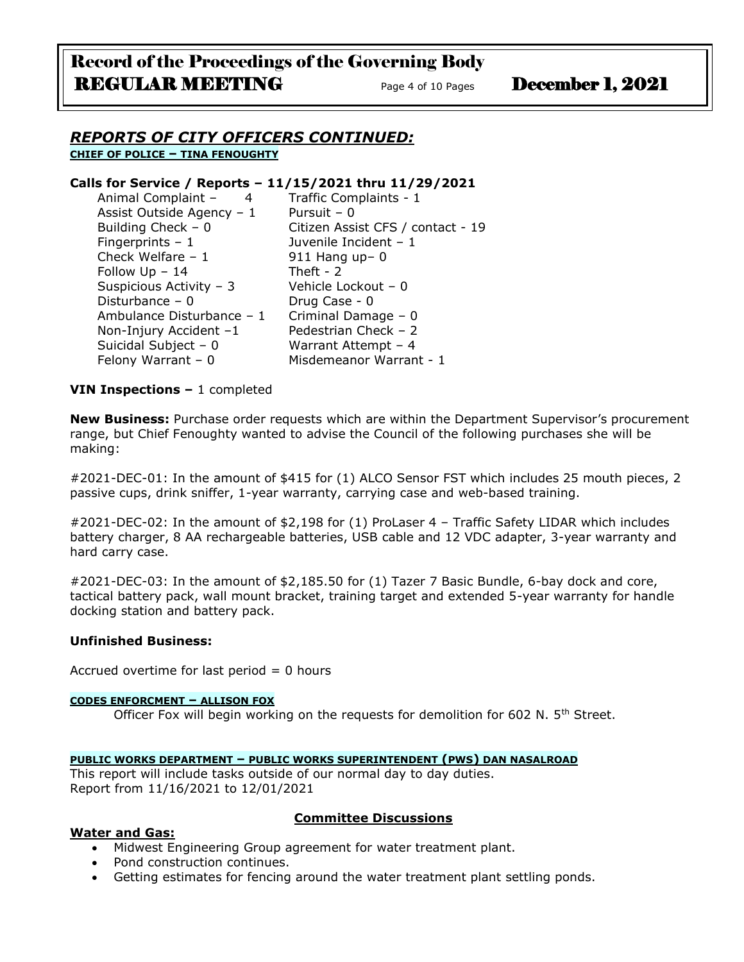#### *REPORTS OF CITY OFFICERS CONTINUED:* **CHIEF OF POLICE – TINA FENOUGHTY**

#### **Calls for Service / Reports – 11/15/2021 thru 11/29/2021**

| Animal Complaint -<br>$\overline{4}$ | Traffic Complaints - 1            |  |
|--------------------------------------|-----------------------------------|--|
| Assist Outside Agency - 1            | Pursuit $-0$                      |  |
| Building Check $-0$                  | Citizen Assist CFS / contact - 19 |  |
| Fingerprints $-1$                    | Juvenile Incident - 1             |  |
| Check Welfare $-1$                   | $911$ Hang up- 0                  |  |
| Follow $Up - 14$                     | Theft - $2$                       |  |
| Suspicious Activity - 3              | Vehicle Lockout - 0               |  |
| Disturbance $-0$                     | Drug Case - 0                     |  |
| Ambulance Disturbance - 1            | Criminal Damage - 0               |  |
| Non-Injury Accident -1               | Pedestrian Check - 2              |  |
| Suicidal Subject - 0                 | Warrant Attempt $-4$              |  |
| Felony Warrant $-0$                  | Misdemeanor Warrant - 1           |  |
|                                      |                                   |  |

#### **VIN Inspections –** 1 completed

**New Business:** Purchase order requests which are within the Department Supervisor's procurement range, but Chief Fenoughty wanted to advise the Council of the following purchases she will be making:

#2021-DEC-01: In the amount of \$415 for (1) ALCO Sensor FST which includes 25 mouth pieces, 2 passive cups, drink sniffer, 1-year warranty, carrying case and web-based training.

#2021-DEC-02: In the amount of \$2,198 for (1) ProLaser 4 – Traffic Safety LIDAR which includes battery charger, 8 AA rechargeable batteries, USB cable and 12 VDC adapter, 3-year warranty and hard carry case.

#2021-DEC-03: In the amount of \$2,185.50 for (1) Tazer 7 Basic Bundle, 6-bay dock and core, tactical battery pack, wall mount bracket, training target and extended 5-year warranty for handle docking station and battery pack.

#### **Unfinished Business:**

Accrued overtime for last period  $= 0$  hours

#### **CODES ENFORCMENT – ALLISON FOX**

Officer Fox will begin working on the requests for demolition for 602 N.  $5<sup>th</sup>$  Street.

#### **PUBLIC WORKS DEPARTMENT – PUBLIC WORKS SUPERINTENDENT (PWS) DAN NASALROAD**

This report will include tasks outside of our normal day to day duties. Report from 11/16/2021 to 12/01/2021

#### **Water and Gas:**

#### **Committee Discussions**

- Midwest Engineering Group agreement for water treatment plant.
- Pond construction continues.
- Getting estimates for fencing around the water treatment plant settling ponds.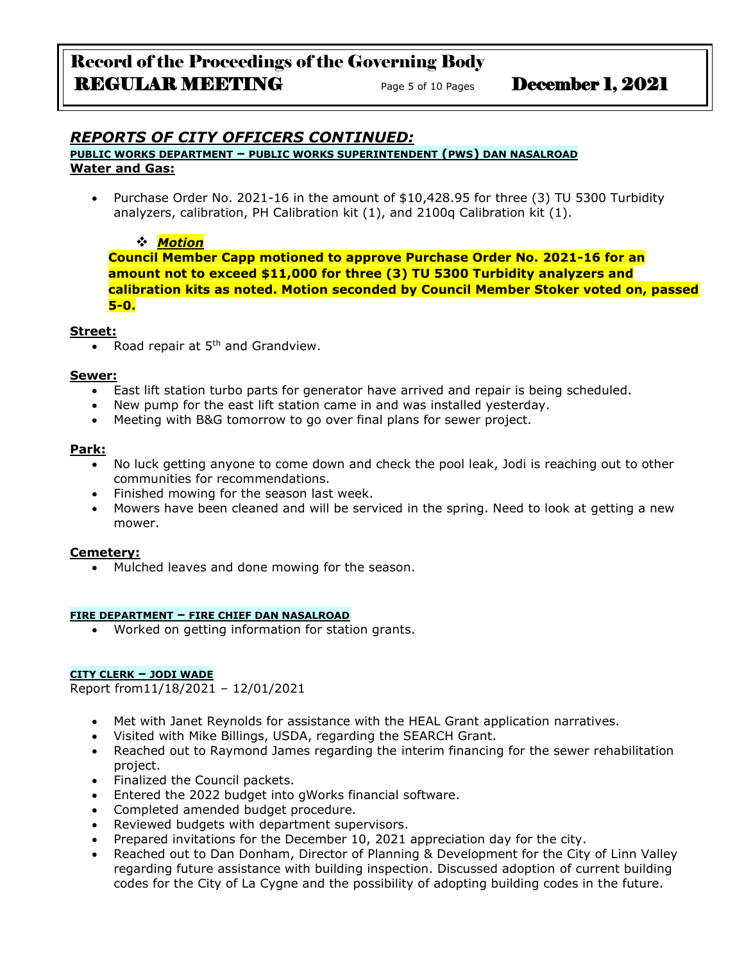# Record of the Proceedings of the Governing Body REGULAR MEETING<br>
Page 5 of 10 Pages December 1, 2021

## *REPORTS OF CITY OFFICERS CONTINUED:*

**PUBLIC WORKS DEPARTMENT – PUBLIC WORKS SUPERINTENDENT (PWS) DAN NASALROAD Water and Gas:**

• Purchase Order No. 2021-16 in the amount of \$10,428.95 for three (3) TU 5300 Turbidity analyzers, calibration, PH Calibration kit (1), and 2100q Calibration kit (1).

### ❖ *Motion*

**Council Member Capp motioned to approve Purchase Order No. 2021-16 for an amount not to exceed \$11,000 for three (3) TU 5300 Turbidity analyzers and calibration kits as noted. Motion seconded by Council Member Stoker voted on, passed 5-0.**

#### **Street:**

• Road repair at  $5<sup>th</sup>$  and Grandview.

#### **Sewer:**

- East lift station turbo parts for generator have arrived and repair is being scheduled.
- New pump for the east lift station came in and was installed yesterday.
- Meeting with B&G tomorrow to go over final plans for sewer project.

#### **Park:**

- No luck getting anyone to come down and check the pool leak, Jodi is reaching out to other communities for recommendations.
- Finished mowing for the season last week.
- Mowers have been cleaned and will be serviced in the spring. Need to look at getting a new mower.

#### **Cemetery:**

• Mulched leaves and done mowing for the season.

#### **FIRE DEPARTMENT – FIRE CHIEF DAN NASALROAD**

• Worked on getting information for station grants.

#### **CITY CLERK – JODI WADE**

Report from11/18/2021 – 12/01/2021

- Met with Janet Reynolds for assistance with the HEAL Grant application narratives.
- Visited with Mike Billings, USDA, regarding the SEARCH Grant.
- Reached out to Raymond James regarding the interim financing for the sewer rehabilitation project.
- Finalized the Council packets.
- Entered the 2022 budget into gWorks financial software.
- Completed amended budget procedure.
- Reviewed budgets with department supervisors.
- Prepared invitations for the December 10, 2021 appreciation day for the city.
- Reached out to Dan Donham, Director of Planning & Development for the City of Linn Valley regarding future assistance with building inspection. Discussed adoption of current building codes for the City of La Cygne and the possibility of adopting building codes in the future.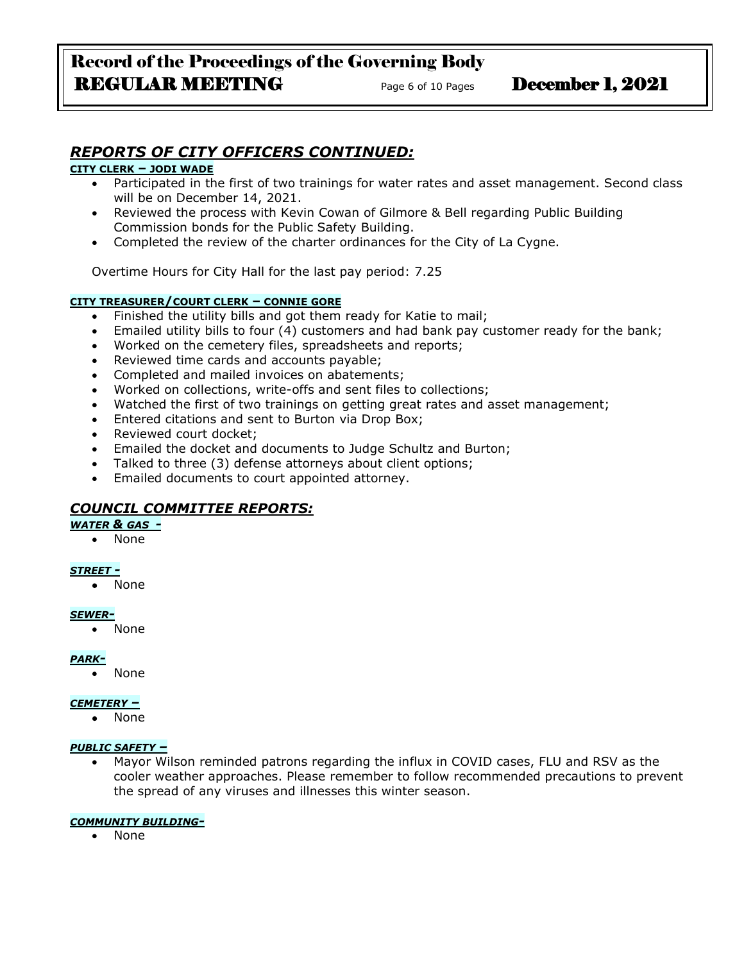# Record of the Proceedings of the Governing Body REGULAR MEETING Page 6 of 10 Pages December 1, 2021

# *REPORTS OF CITY OFFICERS CONTINUED:*

#### **CITY CLERK – JODI WADE**

- Participated in the first of two trainings for water rates and asset management. Second class will be on December 14, 2021.
- Reviewed the process with Kevin Cowan of Gilmore & Bell regarding Public Building Commission bonds for the Public Safety Building.
- Completed the review of the charter ordinances for the City of La Cygne.

Overtime Hours for City Hall for the last pay period: 7.25

#### **CITY TREASURER/COURT CLERK – CONNIE GORE**

- Finished the utility bills and got them ready for Katie to mail;
- Emailed utility bills to four (4) customers and had bank pay customer ready for the bank;
- Worked on the cemetery files, spreadsheets and reports;
- Reviewed time cards and accounts payable;
- Completed and mailed invoices on abatements;
- Worked on collections, write-offs and sent files to collections;
- Watched the first of two trainings on getting great rates and asset management;
- Entered citations and sent to Burton via Drop Box;
- Reviewed court docket;
- Emailed the docket and documents to Judge Schultz and Burton;
- Talked to three (3) defense attorneys about client options;
- Emailed documents to court appointed attorney.

## *COUNCIL COMMITTEE REPORTS:*

#### *WATER & GAS -*

• None

#### *STREET -*

• None

#### *SEWER-*

• None

#### *PARK-*

• None

#### *CEMETERY –*

• None

#### *PUBLIC SAFETY –*

• Mayor Wilson reminded patrons regarding the influx in COVID cases, FLU and RSV as the cooler weather approaches. Please remember to follow recommended precautions to prevent the spread of any viruses and illnesses this winter season.

#### *COMMUNITY BUILDING-*

• None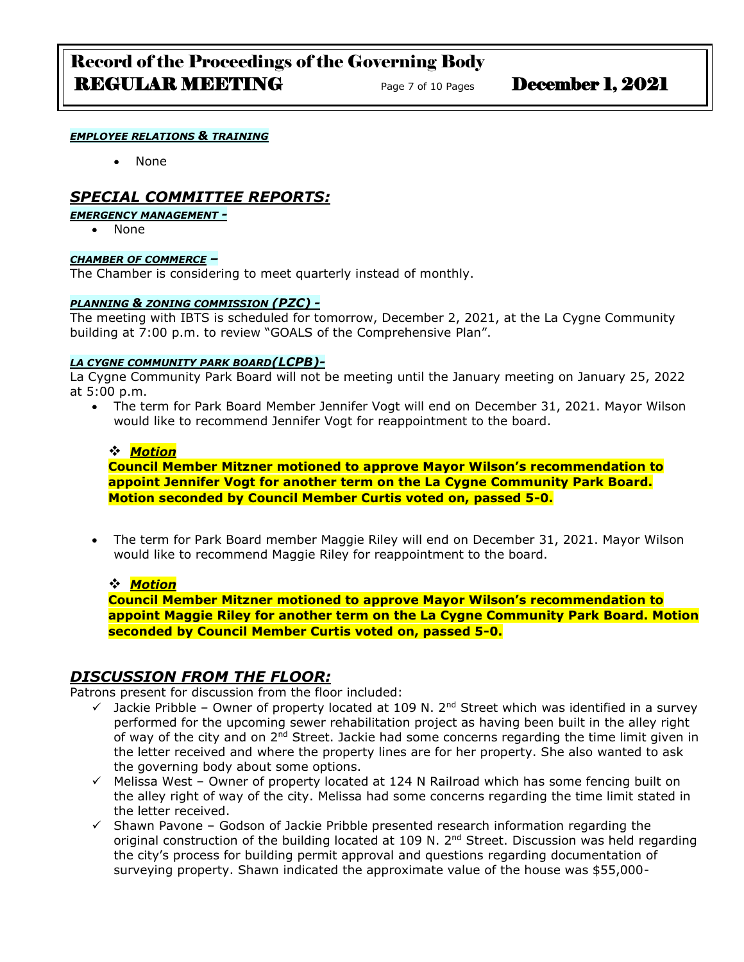# Record of the Proceedings of the Governing Body **REGULAR MEETING** Page 7 of 10 Pages **December 1, 2021**

#### *EMPLOYEE RELATIONS & TRAINING*

• None

## *SPECIAL COMMITTEE REPORTS:*

### *EMERGENCY MANAGEMENT -*

• None

#### *CHAMBER OF COMMERCE –*

The Chamber is considering to meet quarterly instead of monthly.

#### *PLANNING & ZONING COMMISSION (PZC) -*

The meeting with IBTS is scheduled for tomorrow, December 2, 2021, at the La Cygne Community building at 7:00 p.m. to review "GOALS of the Comprehensive Plan".

#### *LA CYGNE COMMUNITY PARK BOARD(LCPB)-*

La Cygne Community Park Board will not be meeting until the January meeting on January 25, 2022 at 5:00 p.m.

• The term for Park Board Member Jennifer Vogt will end on December 31, 2021. Mayor Wilson would like to recommend Jennifer Vogt for reappointment to the board.

#### ❖ *Motion*

**Council Member Mitzner motioned to approve Mayor Wilson's recommendation to appoint Jennifer Vogt for another term on the La Cygne Community Park Board. Motion seconded by Council Member Curtis voted on, passed 5-0.**

• The term for Park Board member Maggie Riley will end on December 31, 2021. Mayor Wilson would like to recommend Maggie Riley for reappointment to the board.

#### ❖ *Motion*

**Council Member Mitzner motioned to approve Mayor Wilson's recommendation to appoint Maggie Riley for another term on the La Cygne Community Park Board. Motion seconded by Council Member Curtis voted on, passed 5-0.**

## *DISCUSSION FROM THE FLOOR:*

Patrons present for discussion from the floor included:

- $\checkmark$  Jackie Pribble Owner of property located at 109 N. 2<sup>nd</sup> Street which was identified in a survey performed for the upcoming sewer rehabilitation project as having been built in the alley right of way of the city and on 2nd Street. Jackie had some concerns regarding the time limit given in the letter received and where the property lines are for her property. She also wanted to ask the governing body about some options.
- ✓ Melissa West Owner of property located at 124 N Railroad which has some fencing built on the alley right of way of the city. Melissa had some concerns regarding the time limit stated in the letter received.
- $\checkmark$  Shawn Pavone Godson of Jackie Pribble presented research information regarding the original construction of the building located at 109 N.  $2<sup>nd</sup>$  Street. Discussion was held regarding the city's process for building permit approval and questions regarding documentation of surveying property. Shawn indicated the approximate value of the house was \$55,000-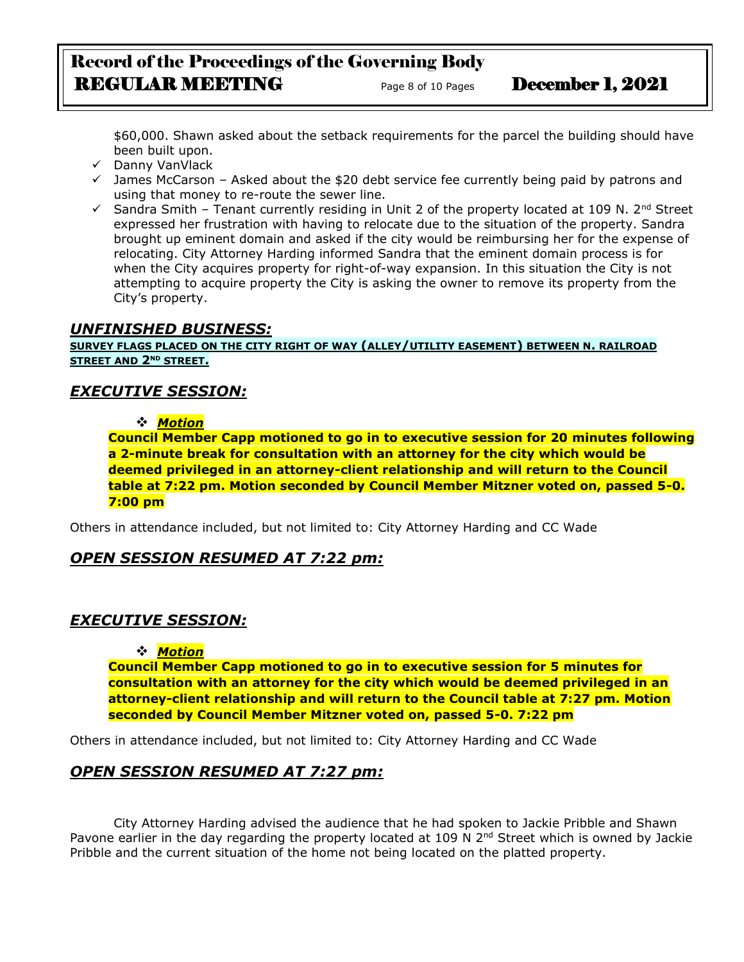# Record of the Proceedings of the Governing Body REGULAR MEETING<br>
Page 8 of 10 Pages December 1, 2021

\$60,000. Shawn asked about the setback requirements for the parcel the building should have been built upon.

- ✓ Danny VanVlack
- $\checkmark$  James McCarson Asked about the \$20 debt service fee currently being paid by patrons and using that money to re-route the sewer line.
- ✓ Sandra Smith Tenant currently residing in Unit 2 of the property located at 109 N. 2nd Street expressed her frustration with having to relocate due to the situation of the property. Sandra brought up eminent domain and asked if the city would be reimbursing her for the expense of relocating. City Attorney Harding informed Sandra that the eminent domain process is for when the City acquires property for right-of-way expansion. In this situation the City is not attempting to acquire property the City is asking the owner to remove its property from the City's property.

## *UNFINISHED BUSINESS:*

**SURVEY FLAGS PLACED ON THE CITY RIGHT OF WAY (ALLEY/UTILITY EASEMENT) BETWEEN N. RAILROAD STREET AND 2ND STREET.**

## *EXECUTIVE SESSION:*

#### ❖ *Motion*

**Council Member Capp motioned to go in to executive session for 20 minutes following a 2-minute break for consultation with an attorney for the city which would be deemed privileged in an attorney-client relationship and will return to the Council table at 7:22 pm. Motion seconded by Council Member Mitzner voted on, passed 5-0. 7:00 pm** 

Others in attendance included, but not limited to: City Attorney Harding and CC Wade

## *OPEN SESSION RESUMED AT 7:22 pm:*

## *EXECUTIVE SESSION:*

## ❖ *Motion*

**Council Member Capp motioned to go in to executive session for 5 minutes for consultation with an attorney for the city which would be deemed privileged in an attorney-client relationship and will return to the Council table at 7:27 pm. Motion seconded by Council Member Mitzner voted on, passed 5-0. 7:22 pm** 

Others in attendance included, but not limited to: City Attorney Harding and CC Wade

## *OPEN SESSION RESUMED AT 7:27 pm:*

City Attorney Harding advised the audience that he had spoken to Jackie Pribble and Shawn Pavone earlier in the day regarding the property located at 109 N 2<sup>nd</sup> Street which is owned by Jackie Pribble and the current situation of the home not being located on the platted property.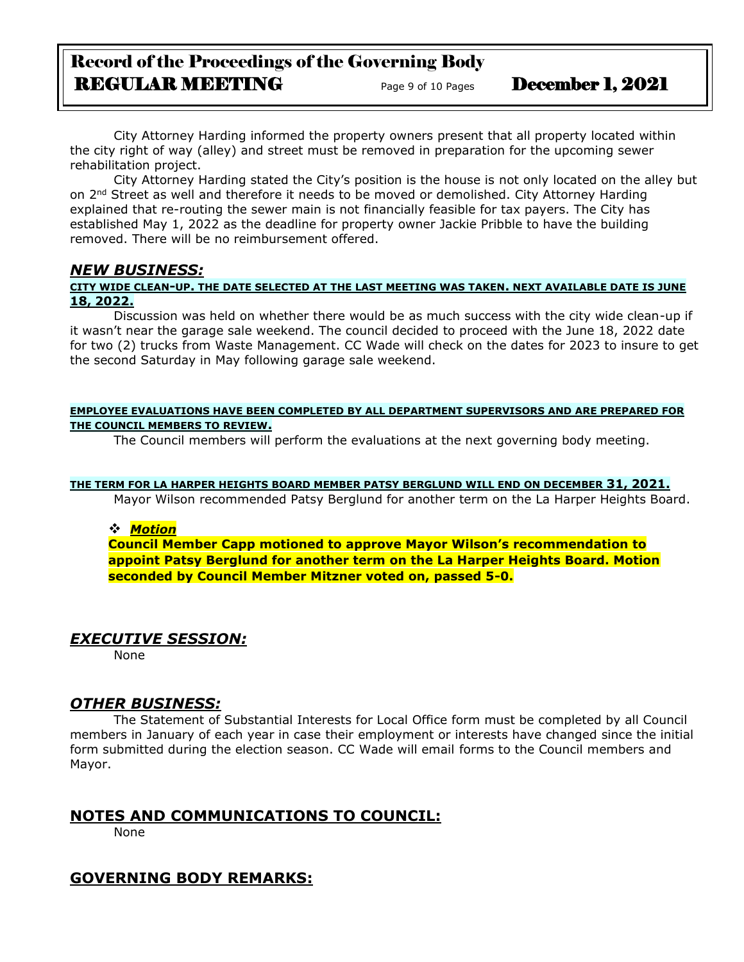# Record of the Proceedings of the Governing Body REGULAR MEETING Page 9 of 10 Pages December 1, 2021

City Attorney Harding informed the property owners present that all property located within the city right of way (alley) and street must be removed in preparation for the upcoming sewer rehabilitation project.

City Attorney Harding stated the City's position is the house is not only located on the alley but on 2<sup>nd</sup> Street as well and therefore it needs to be moved or demolished. City Attorney Harding explained that re-routing the sewer main is not financially feasible for tax payers. The City has established May 1, 2022 as the deadline for property owner Jackie Pribble to have the building removed. There will be no reimbursement offered.

## *NEW BUSINESS:*

#### **CITY WIDE CLEAN-UP. THE DATE SELECTED AT THE LAST MEETING WAS TAKEN. NEXT AVAILABLE DATE IS JUNE 18, 2022.**

Discussion was held on whether there would be as much success with the city wide clean-up if it wasn't near the garage sale weekend. The council decided to proceed with the June 18, 2022 date for two (2) trucks from Waste Management. CC Wade will check on the dates for 2023 to insure to get the second Saturday in May following garage sale weekend.

#### **EMPLOYEE EVALUATIONS HAVE BEEN COMPLETED BY ALL DEPARTMENT SUPERVISORS AND ARE PREPARED FOR THE COUNCIL MEMBERS TO REVIEW.**

The Council members will perform the evaluations at the next governing body meeting.

#### **THE TERM FOR LA HARPER HEIGHTS BOARD MEMBER PATSY BERGLUND WILL END ON DECEMBER 31, 2021.**

Mayor Wilson recommended Patsy Berglund for another term on the La Harper Heights Board.

#### ❖ *Motion*

**Council Member Capp motioned to approve Mayor Wilson's recommendation to appoint Patsy Berglund for another term on the La Harper Heights Board. Motion seconded by Council Member Mitzner voted on, passed 5-0.**

## *EXECUTIVE SESSION:*

None

## *OTHER BUSINESS:*

The Statement of Substantial Interests for Local Office form must be completed by all Council members in January of each year in case their employment or interests have changed since the initial form submitted during the election season. CC Wade will email forms to the Council members and Mayor.

## **NOTES AND COMMUNICATIONS TO COUNCIL:**

None

## **GOVERNING BODY REMARKS:**